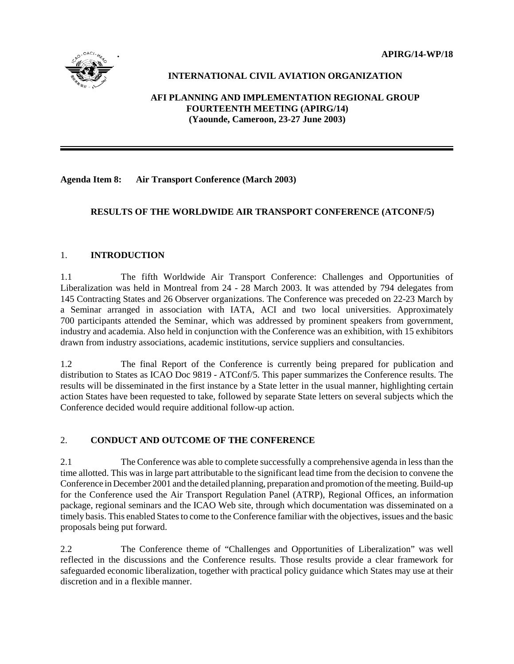**. APIRG/14-WP/18**



# **INTERNATIONAL CIVIL AVIATION ORGANIZATION**

# **AFI PLANNING AND IMPLEMENTATION REGIONAL GROUP FOURTEENTH MEETING (APIRG/14) (Yaounde, Cameroon, 23-27 June 2003)**

**Agenda Item 8: Air Transport Conference (March 2003)**

# **RESULTS OF THE WORLDWIDE AIR TRANSPORT CONFERENCE (ATCONF/5)**

# 1. **INTRODUCTION**

1.1 The fifth Worldwide Air Transport Conference: Challenges and Opportunities of Liberalization was held in Montreal from 24 - 28 March 2003. It was attended by 794 delegates from 145 Contracting States and 26 Observer organizations. The Conference was preceded on 22-23 March by a Seminar arranged in association with IATA, ACI and two local universities. Approximately 700 participants attended the Seminar, which was addressed by prominent speakers from government, industry and academia. Also held in conjunction with the Conference was an exhibition, with 15 exhibitors drawn from industry associations, academic institutions, service suppliers and consultancies.

1.2 The final Report of the Conference is currently being prepared for publication and distribution to States as ICAO Doc 9819 - ATConf/5. This paper summarizes the Conference results. The results will be disseminated in the first instance by a State letter in the usual manner, highlighting certain action States have been requested to take, followed by separate State letters on several subjects which the Conference decided would require additional follow-up action.

# 2. **CONDUCT AND OUTCOME OF THE CONFERENCE**

2.1 The Conference was able to complete successfully a comprehensive agenda in less than the time allotted. This was in large part attributable to the significant lead time from the decision to convene the Conference in December 2001 and the detailed planning, preparation and promotion of the meeting. Build-up for the Conference used the Air Transport Regulation Panel (ATRP), Regional Offices, an information package, regional seminars and the ICAO Web site, through which documentation was disseminated on a timely basis. This enabled States to come to the Conference familiar with the objectives, issues and the basic proposals being put forward.

2.2 The Conference theme of "Challenges and Opportunities of Liberalization" was well reflected in the discussions and the Conference results. Those results provide a clear framework for safeguarded economic liberalization, together with practical policy guidance which States may use at their discretion and in a flexible manner.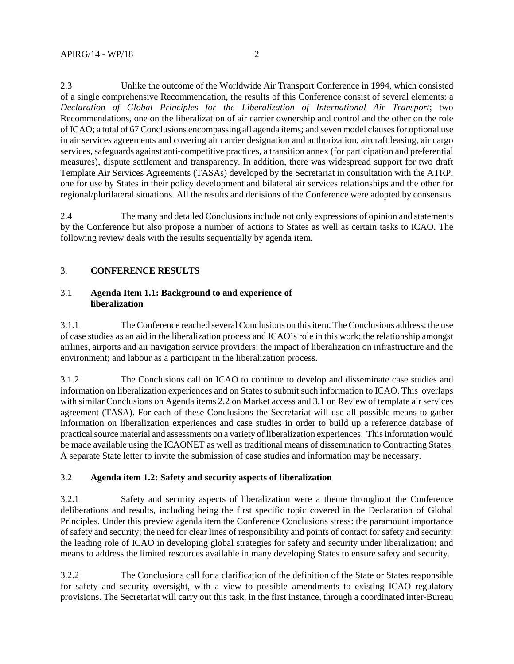2.3 Unlike the outcome of the Worldwide Air Transport Conference in 1994, which consisted of a single comprehensive Recommendation, the results of this Conference consist of several elements: a *Declaration of Global Principles for the Liberalization of International Air Transport*; two Recommendations, one on the liberalization of air carrier ownership and control and the other on the role of ICAO; a total of 67 Conclusions encompassing all agenda items; and seven model clauses for optional use in air services agreements and covering air carrier designation and authorization, aircraft leasing, air cargo services, safeguards against anti-competitive practices, a transition annex (for participation and preferential measures), dispute settlement and transparency. In addition, there was widespread support for two draft Template Air Services Agreements (TASAs) developed by the Secretariat in consultation with the ATRP, one for use by States in their policy development and bilateral air services relationships and the other for regional/plurilateral situations. All the results and decisions of the Conference were adopted by consensus.

2.4 The many and detailed Conclusions include not only expressions of opinion and statements by the Conference but also propose a number of actions to States as well as certain tasks to ICAO. The following review deals with the results sequentially by agenda item.

# 3. **CONFERENCE RESULTS**

## 3.1 **Agenda Item 1.1: Background to and experience of liberalization**

3.1.1 The Conference reached several Conclusions on this item. The Conclusions address: the use of case studies as an aid in the liberalization process and ICAO's role in this work; the relationship amongst airlines, airports and air navigation service providers; the impact of liberalization on infrastructure and the environment; and labour as a participant in the liberalization process.

3.1.2 The Conclusions call on ICAO to continue to develop and disseminate case studies and information on liberalization experiences and on States to submit such information to ICAO. This overlaps with similar Conclusions on Agenda items 2.2 on Market access and 3.1 on Review of template air services agreement (TASA). For each of these Conclusions the Secretariat will use all possible means to gather information on liberalization experiences and case studies in order to build up a reference database of practical source material and assessments on a variety of liberalization experiences. This information would be made available using the ICAONET as well as traditional means of dissemination to Contracting States. A separate State letter to invite the submission of case studies and information may be necessary.

# 3.2 **Agenda item 1.2: Safety and security aspects of liberalization**

3.2.1 Safety and security aspects of liberalization were a theme throughout the Conference deliberations and results, including being the first specific topic covered in the Declaration of Global Principles. Under this preview agenda item the Conference Conclusions stress: the paramount importance of safety and security; the need for clear lines of responsibility and points of contact for safety and security; the leading role of ICAO in developing global strategies for safety and security under liberalization; and means to address the limited resources available in many developing States to ensure safety and security.

3.2.2 The Conclusions call for a clarification of the definition of the State or States responsible for safety and security oversight, with a view to possible amendments to existing ICAO regulatory provisions. The Secretariat will carry out this task, in the first instance, through a coordinated inter-Bureau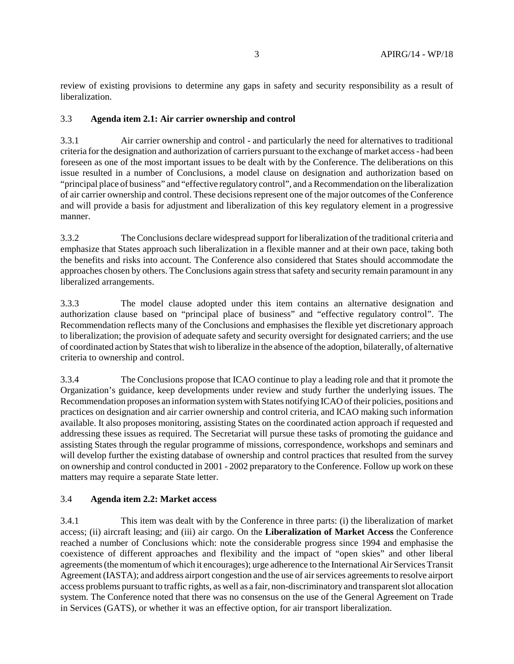review of existing provisions to determine any gaps in safety and security responsibility as a result of liberalization.

### 3.3 **Agenda item 2.1: Air carrier ownership and control**

3.3.1 Air carrier ownership and control - and particularly the need for alternatives to traditional criteria for the designation and authorization of carriers pursuant to the exchange of market access - had been foreseen as one of the most important issues to be dealt with by the Conference. The deliberations on this issue resulted in a number of Conclusions, a model clause on designation and authorization based on "principal place of business" and "effective regulatory control", and a Recommendation on the liberalization of air carrier ownership and control. These decisions represent one of the major outcomes of the Conference and will provide a basis for adjustment and liberalization of this key regulatory element in a progressive manner.

3.3.2 The Conclusions declare widespread support for liberalization of the traditional criteria and emphasize that States approach such liberalization in a flexible manner and at their own pace, taking both the benefits and risks into account. The Conference also considered that States should accommodate the approaches chosen by others. The Conclusions again stress that safety and security remain paramount in any liberalized arrangements.

3.3.3 The model clause adopted under this item contains an alternative designation and authorization clause based on "principal place of business" and "effective regulatory control". The Recommendation reflects many of the Conclusions and emphasises the flexible yet discretionary approach to liberalization; the provision of adequate safety and security oversight for designated carriers; and the use of coordinated action by States that wish to liberalize in the absence of the adoption, bilaterally, of alternative criteria to ownership and control.

3.3.4 The Conclusions propose that ICAO continue to play a leading role and that it promote the Organization's guidance, keep developments under review and study further the underlying issues. The Recommendation proposes an information system with States notifying ICAO of their policies, positions and practices on designation and air carrier ownership and control criteria, and ICAO making such information available. It also proposes monitoring, assisting States on the coordinated action approach if requested and addressing these issues as required. The Secretariat will pursue these tasks of promoting the guidance and assisting States through the regular programme of missions, correspondence, workshops and seminars and will develop further the existing database of ownership and control practices that resulted from the survey on ownership and control conducted in 2001 - 2002 preparatory to the Conference. Follow up work on these matters may require a separate State letter.

### 3.4 **Agenda item 2.2: Market access**

3.4.1 This item was dealt with by the Conference in three parts: (i) the liberalization of market access; (ii) aircraft leasing; and (iii) air cargo. On the **Liberalization of Market Access** the Conference reached a number of Conclusions which: note the considerable progress since 1994 and emphasise the coexistence of different approaches and flexibility and the impact of "open skies" and other liberal agreements (the momentum of which it encourages); urge adherence to the International Air Services Transit Agreement (IASTA); and address airport congestion and the use of air services agreements to resolve airport access problems pursuant to traffic rights, as well as a fair, non-discriminatory and transparent slot allocation system. The Conference noted that there was no consensus on the use of the General Agreement on Trade in Services (GATS), or whether it was an effective option, for air transport liberalization.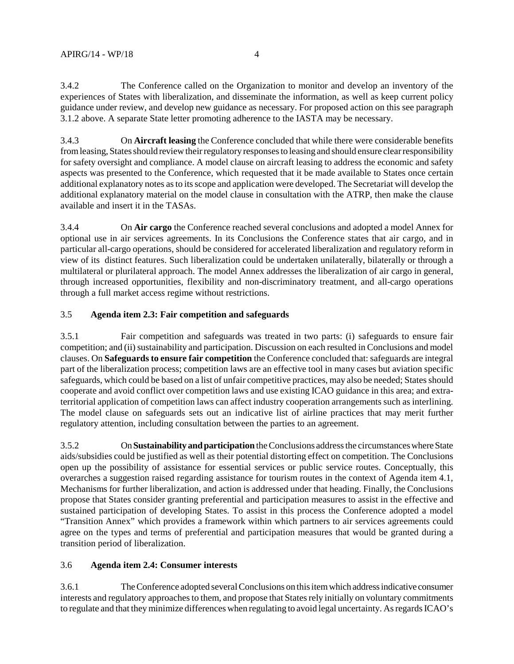3.4.2 The Conference called on the Organization to monitor and develop an inventory of the experiences of States with liberalization, and disseminate the information, as well as keep current policy guidance under review, and develop new guidance as necessary. For proposed action on this see paragraph 3.1.2 above. A separate State letter promoting adherence to the IASTA may be necessary.

3.4.3 On **Aircraft leasing** the Conference concluded that while there were considerable benefits from leasing, States should review their regulatory responses to leasing and should ensure clear responsibility for safety oversight and compliance. A model clause on aircraft leasing to address the economic and safety aspects was presented to the Conference, which requested that it be made available to States once certain additional explanatory notes as to its scope and application were developed. The Secretariat will develop the additional explanatory material on the model clause in consultation with the ATRP, then make the clause available and insert it in the TASAs.

3.4.4 On **Air cargo** the Conference reached several conclusions and adopted a model Annex for optional use in air services agreements. In its Conclusions the Conference states that air cargo, and in particular all-cargo operations, should be considered for accelerated liberalization and regulatory reform in view of its distinct features. Such liberalization could be undertaken unilaterally, bilaterally or through a multilateral or plurilateral approach. The model Annex addresses the liberalization of air cargo in general, through increased opportunities, flexibility and non-discriminatory treatment, and all-cargo operations through a full market access regime without restrictions.

# 3.5 **Agenda item 2.3: Fair competition and safeguards**

3.5.1 Fair competition and safeguards was treated in two parts: (i) safeguards to ensure fair competition; and (ii) sustainability and participation. Discussion on each resulted in Conclusions and model clauses. On **Safeguards to ensure fair competition** the Conference concluded that: safeguards are integral part of the liberalization process; competition laws are an effective tool in many cases but aviation specific safeguards, which could be based on a list of unfair competitive practices, may also be needed; States should cooperate and avoid conflict over competition laws and use existing ICAO guidance in this area; and extraterritorial application of competition laws can affect industry cooperation arrangements such as interlining. The model clause on safeguards sets out an indicative list of airline practices that may merit further regulatory attention, including consultation between the parties to an agreement.

3.5.2 On **Sustainability and participation** the Conclusions address the circumstances where State aids/subsidies could be justified as well as their potential distorting effect on competition. The Conclusions open up the possibility of assistance for essential services or public service routes. Conceptually, this overarches a suggestion raised regarding assistance for tourism routes in the context of Agenda item 4.1, Mechanisms for further liberalization, and action is addressed under that heading. Finally, the Conclusions propose that States consider granting preferential and participation measures to assist in the effective and sustained participation of developing States. To assist in this process the Conference adopted a model "Transition Annex" which provides a framework within which partners to air services agreements could agree on the types and terms of preferential and participation measures that would be granted during a transition period of liberalization.

# 3.6 **Agenda item 2.4: Consumer interests**

3.6.1 The Conference adopted several Conclusions on this item which address indicative consumer interests and regulatory approaches to them, and propose that States rely initially on voluntary commitments to regulate and that they minimize differences when regulating to avoid legal uncertainty. As regards ICAO's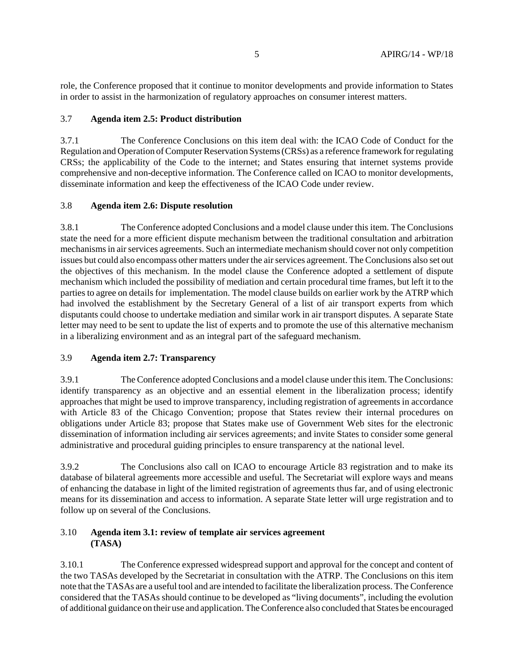role, the Conference proposed that it continue to monitor developments and provide information to States in order to assist in the harmonization of regulatory approaches on consumer interest matters.

# 3.7 **Agenda item 2.5: Product distribution**

3.7.1 The Conference Conclusions on this item deal with: the ICAO Code of Conduct for the Regulation and Operation of Computer Reservation Systems (CRSs) as a reference framework for regulating CRSs; the applicability of the Code to the internet; and States ensuring that internet systems provide comprehensive and non-deceptive information. The Conference called on ICAO to monitor developments, disseminate information and keep the effectiveness of the ICAO Code under review.

## 3.8 **Agenda item 2.6: Dispute resolution**

3.8.1 The Conference adopted Conclusions and a model clause under this item. The Conclusions state the need for a more efficient dispute mechanism between the traditional consultation and arbitration mechanisms in air services agreements. Such an intermediate mechanism should cover not only competition issues but could also encompass other matters under the air services agreement. The Conclusions also set out the objectives of this mechanism. In the model clause the Conference adopted a settlement of dispute mechanism which included the possibility of mediation and certain procedural time frames, but left it to the parties to agree on details for implementation. The model clause builds on earlier work by the ATRP which had involved the establishment by the Secretary General of a list of air transport experts from which disputants could choose to undertake mediation and similar work in air transport disputes. A separate State letter may need to be sent to update the list of experts and to promote the use of this alternative mechanism in a liberalizing environment and as an integral part of the safeguard mechanism.

### 3.9 **Agenda item 2.7: Transparency**

3.9.1 The Conference adopted Conclusions and a model clause under this item. The Conclusions: identify transparency as an objective and an essential element in the liberalization process; identify approaches that might be used to improve transparency, including registration of agreements in accordance with Article 83 of the Chicago Convention; propose that States review their internal procedures on obligations under Article 83; propose that States make use of Government Web sites for the electronic dissemination of information including air services agreements; and invite States to consider some general administrative and procedural guiding principles to ensure transparency at the national level.

3.9.2 The Conclusions also call on ICAO to encourage Article 83 registration and to make its database of bilateral agreements more accessible and useful. The Secretariat will explore ways and means of enhancing the database in light of the limited registration of agreements thus far, and of using electronic means for its dissemination and access to information. A separate State letter will urge registration and to follow up on several of the Conclusions.

## 3.10 **Agenda item 3.1: review of template air services agreement (TASA)**

3.10.1 The Conference expressed widespread support and approval for the concept and content of the two TASAs developed by the Secretariat in consultation with the ATRP. The Conclusions on this item note that the TASAs are a useful tool and are intended to facilitate the liberalization process. The Conference considered that the TASAs should continue to be developed as "living documents", including the evolution of additional guidance on their use and application. The Conference also concluded that States be encouraged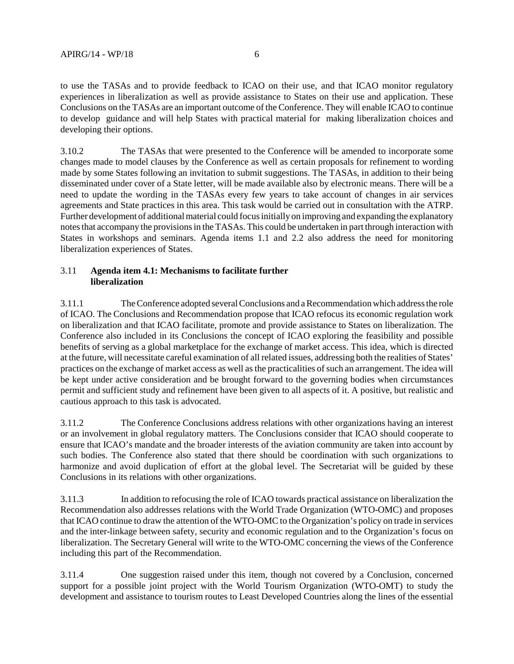to use the TASAs and to provide feedback to ICAO on their use, and that ICAO monitor regulatory experiences in liberalization as well as provide assistance to States on their use and application. These Conclusions on the TASAs are an important outcome of the Conference. They will enable ICAO to continue to develop guidance and will help States with practical material for making liberalization choices and developing their options.

3.10.2 The TASAs that were presented to the Conference will be amended to incorporate some changes made to model clauses by the Conference as well as certain proposals for refinement to wording made by some States following an invitation to submit suggestions. The TASAs, in addition to their being disseminated under cover of a State letter, will be made available also by electronic means. There will be a need to update the wording in the TASAs every few years to take account of changes in air services agreements and State practices in this area. This task would be carried out in consultation with the ATRP. Further development of additional material could focus initially on improving and expanding the explanatory notes that accompany the provisions in the TASAs. This could be undertaken in part through interaction with States in workshops and seminars. Agenda items 1.1 and 2.2 also address the need for monitoring liberalization experiences of States.

## 3.11 **Agenda item 4.1: Mechanisms to facilitate further liberalization**

3.11.1 The Conference adopted several Conclusions and a Recommendation which address the role of ICAO. The Conclusions and Recommendation propose that ICAO refocus its economic regulation work on liberalization and that ICAO facilitate, promote and provide assistance to States on liberalization. The Conference also included in its Conclusions the concept of ICAO exploring the feasibility and possible benefits of serving as a global marketplace for the exchange of market access. This idea, which is directed at the future, will necessitate careful examination of all related issues, addressing both the realities of States' practices on the exchange of market access as well as the practicalities of such an arrangement. The idea will be kept under active consideration and be brought forward to the governing bodies when circumstances permit and sufficient study and refinement have been given to all aspects of it. A positive, but realistic and cautious approach to this task is advocated.

3.11.2 The Conference Conclusions address relations with other organizations having an interest or an involvement in global regulatory matters. The Conclusions consider that ICAO should cooperate to ensure that ICAO's mandate and the broader interests of the aviation community are taken into account by such bodies. The Conference also stated that there should be coordination with such organizations to harmonize and avoid duplication of effort at the global level. The Secretariat will be guided by these Conclusions in its relations with other organizations.

3.11.3 In addition to refocusing the role of ICAO towards practical assistance on liberalization the Recommendation also addresses relations with the World Trade Organization (WTO-OMC) and proposes that ICAO continue to draw the attention of the WTO-OMC to the Organization's policy on trade in services and the inter-linkage between safety, security and economic regulation and to the Organization's focus on liberalization. The Secretary General will write to the WTO-OMC concerning the views of the Conference including this part of the Recommendation.

3.11.4 One suggestion raised under this item, though not covered by a Conclusion, concerned support for a possible joint project with the World Tourism Organization (WTO-OMT) to study the development and assistance to tourism routes to Least Developed Countries along the lines of the essential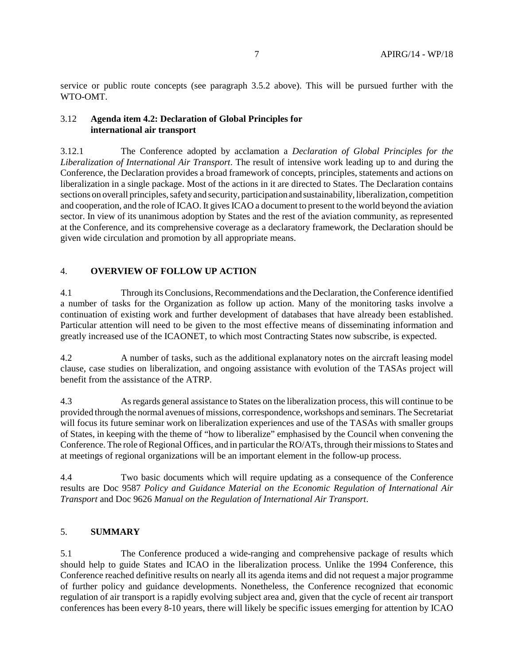service or public route concepts (see paragraph 3.5.2 above). This will be pursued further with the WTO-OMT.

### 3.12 **Agenda item 4.2: Declaration of Global Principles for international air transport**

3.12.1 The Conference adopted by acclamation a *Declaration of Global Principles for the Liberalization of International Air Transport*. The result of intensive work leading up to and during the Conference, the Declaration provides a broad framework of concepts, principles, statements and actions on liberalization in a single package. Most of the actions in it are directed to States. The Declaration contains sections on overall principles, safety and security, participation and sustainability, liberalization, competition and cooperation, and the role of ICAO. It gives ICAO a document to present to the world beyond the aviation sector. In view of its unanimous adoption by States and the rest of the aviation community, as represented at the Conference, and its comprehensive coverage as a declaratory framework, the Declaration should be given wide circulation and promotion by all appropriate means.

## 4. **OVERVIEW OF FOLLOW UP ACTION**

4.1 Through its Conclusions, Recommendations and the Declaration, the Conference identified a number of tasks for the Organization as follow up action. Many of the monitoring tasks involve a continuation of existing work and further development of databases that have already been established. Particular attention will need to be given to the most effective means of disseminating information and greatly increased use of the ICAONET, to which most Contracting States now subscribe, is expected.

4.2 A number of tasks, such as the additional explanatory notes on the aircraft leasing model clause, case studies on liberalization, and ongoing assistance with evolution of the TASAs project will benefit from the assistance of the ATRP.

4.3 As regards general assistance to States on the liberalization process, this will continue to be provided through the normal avenues of missions, correspondence, workshops and seminars. The Secretariat will focus its future seminar work on liberalization experiences and use of the TASAs with smaller groups of States, in keeping with the theme of "how to liberalize" emphasised by the Council when convening the Conference. The role of Regional Offices, and in particular the RO/ATs, through their missions to States and at meetings of regional organizations will be an important element in the follow-up process.

4.4 Two basic documents which will require updating as a consequence of the Conference results are Doc 9587 *Policy and Guidance Material on the Economic Regulation of International Air Transport* and Doc 9626 *Manual on the Regulation of International Air Transport*.

### 5. **SUMMARY**

5.1 The Conference produced a wide-ranging and comprehensive package of results which should help to guide States and ICAO in the liberalization process. Unlike the 1994 Conference, this Conference reached definitive results on nearly all its agenda items and did not request a major programme of further policy and guidance developments. Nonetheless, the Conference recognized that economic regulation of air transport is a rapidly evolving subject area and, given that the cycle of recent air transport conferences has been every 8-10 years, there will likely be specific issues emerging for attention by ICAO